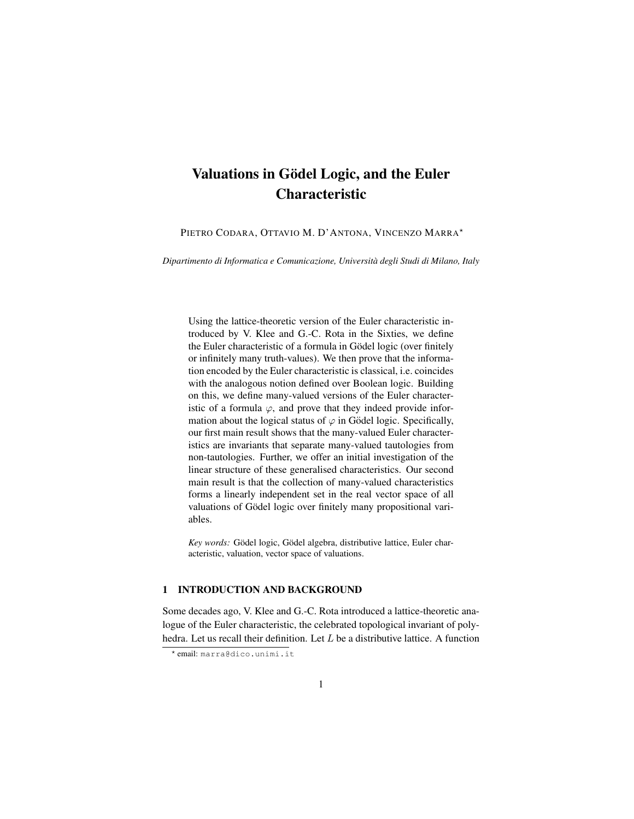# Valuations in Gödel Logic, and the Euler Characteristic

PIETRO CODARA, OTTAVIO M. D'ANTONA, VINCENZO MARRA\*

*Dipartimento di Informatica e Comunicazione, Universita degli Studi di Milano, Italy `*

Using the lattice-theoretic version of the Euler characteristic introduced by V. Klee and G.-C. Rota in the Sixties, we define the Euler characteristic of a formula in Gödel logic (over finitely or infinitely many truth-values). We then prove that the information encoded by the Euler characteristic is classical, i.e. coincides with the analogous notion defined over Boolean logic. Building on this, we define many-valued versions of the Euler characteristic of a formula  $\varphi$ , and prove that they indeed provide information about the logical status of  $\varphi$  in Gödel logic. Specifically, our first main result shows that the many-valued Euler characteristics are invariants that separate many-valued tautologies from non-tautologies. Further, we offer an initial investigation of the linear structure of these generalised characteristics. Our second main result is that the collection of many-valued characteristics forms a linearly independent set in the real vector space of all valuations of Gödel logic over finitely many propositional variables.

*Key words:* Gödel logic, Gödel algebra, distributive lattice, Euler characteristic, valuation, vector space of valuations.

#### 1 INTRODUCTION AND BACKGROUND

Some decades ago, V. Klee and G.-C. Rota introduced a lattice-theoretic analogue of the Euler characteristic, the celebrated topological invariant of polyhedra. Let us recall their definition. Let  $L$  be a distributive lattice. A function

<sup>?</sup> email: marra@dico.unimi.it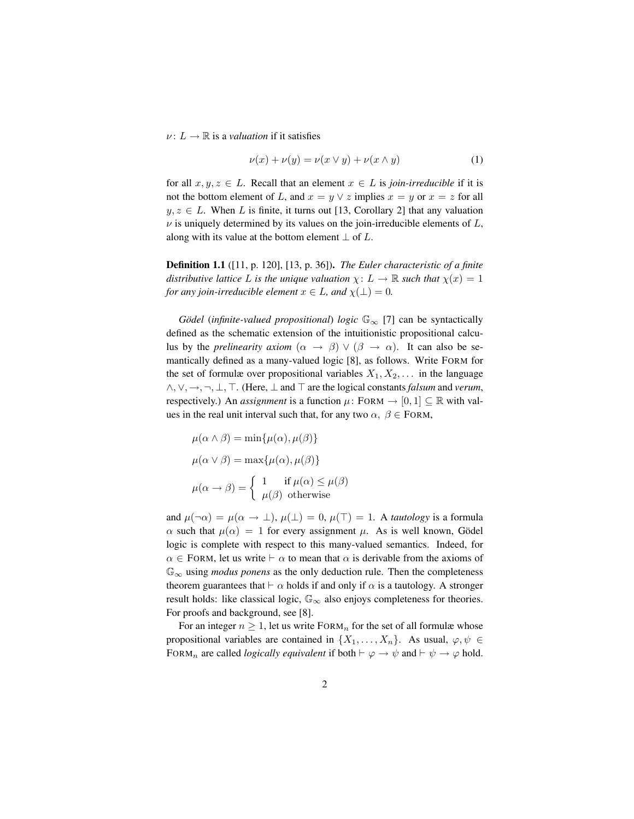$\nu: L \to \mathbb{R}$  is a *valuation* if it satisfies

$$
\nu(x) + \nu(y) = \nu(x \lor y) + \nu(x \land y) \tag{1}
$$

for all  $x, y, z \in L$ . Recall that an element  $x \in L$  is *join-irreducible* if it is not the bottom element of L, and  $x = y \vee z$  implies  $x = y$  or  $x = z$  for all  $y, z \in L$ . When L is finite, it turns out [13, Corollary 2] that any valuation  $\nu$  is uniquely determined by its values on the join-irreducible elements of  $L$ , along with its value at the bottom element  $\perp$  of L.

Definition 1.1 ([11, p. 120], [13, p. 36]). *The Euler characteristic of a finite distributive lattice* L *is the unique valuation*  $\chi: L \to \mathbb{R}$  *such that*  $\chi(x) = 1$ *for any join-irreducible element*  $x \in L$ *, and*  $\chi(\perp) = 0$ *.* 

*Gödel* (*infinite-valued propositional*) *logic*  $\mathbb{G}_{\infty}$  [7] can be syntactically defined as the schematic extension of the intuitionistic propositional calculus by the *prelinearity axiom*  $(\alpha \rightarrow \beta) \vee (\beta \rightarrow \alpha)$ . It can also be semantically defined as a many-valued logic [8], as follows. Write FORM for the set of formulæ over propositional variables  $X_1, X_2, \ldots$  in the language ∧, ∨, →, ¬, ⊥, >. (Here, ⊥ and > are the logical constants *falsum* and *verum*, respectively.) An *assignment* is a function  $\mu$ : FORM  $\rightarrow$  [0, 1]  $\subseteq \mathbb{R}$  with values in the real unit interval such that, for any two  $\alpha$ ,  $\beta \in$  FORM,

$$
\mu(\alpha \wedge \beta) = \min{\mu(\alpha), \mu(\beta)}
$$

$$
\mu(\alpha \vee \beta) = \max{\mu(\alpha), \mu(\beta)}
$$

$$
\mu(\alpha \rightarrow \beta) = \begin{cases} 1 & \text{if } \mu(\alpha) \le \mu(\beta) \\ \mu(\beta) & \text{otherwise} \end{cases}
$$

and  $\mu(\neg \alpha) = \mu(\alpha \to \bot), \mu(\bot) = 0, \mu(\top) = 1$ . A *tautology* is a formula  $\alpha$  such that  $\mu(\alpha) = 1$  for every assignment  $\mu$ . As is well known, Gödel logic is complete with respect to this many-valued semantics. Indeed, for  $\alpha \in$  FORM, let us write  $\vdash \alpha$  to mean that  $\alpha$  is derivable from the axioms of G<sup>∞</sup> using *modus ponens* as the only deduction rule. Then the completeness theorem guarantees that  $\vdash \alpha$  holds if and only if  $\alpha$  is a tautology. A stronger result holds: like classical logic,  $\mathbb{G}_{\infty}$  also enjoys completeness for theories. For proofs and background, see [8].

For an integer  $n \geq 1$ , let us write FORM<sub>n</sub> for the set of all formulæ whose propositional variables are contained in  $\{X_1, \ldots, X_n\}$ . As usual,  $\varphi, \psi \in$ FORM<sub>n</sub> are called *logically equivalent* if both  $\vdash \varphi \rightarrow \psi$  and  $\vdash \psi \rightarrow \varphi$  hold.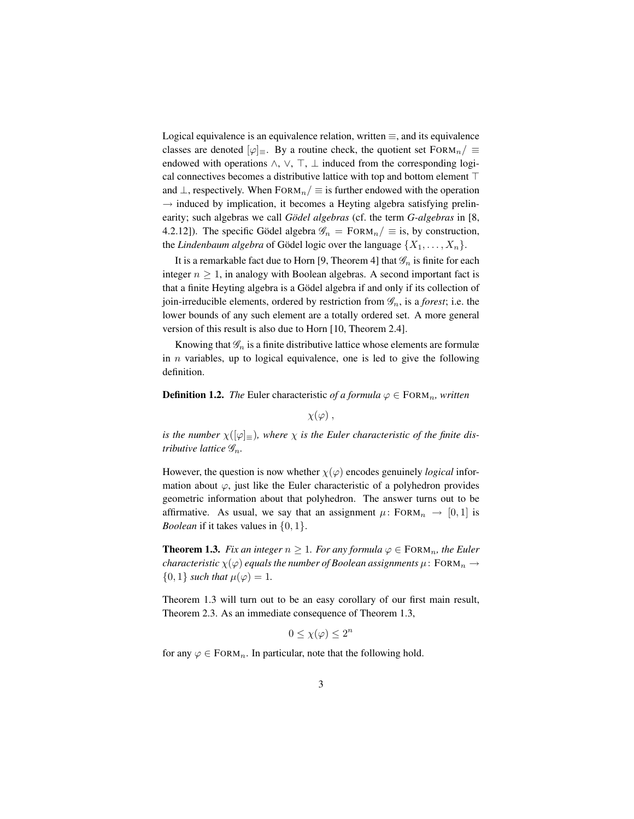Logical equivalence is an equivalence relation, written  $\equiv$ , and its equivalence classes are denoted  $[\varphi]_{\equiv}$ . By a routine check, the quotient set FORM<sub>n</sub>/  $\equiv$ endowed with operations  $\land$ ,  $\lor$ ,  $\top$ ,  $\bot$  induced from the corresponding logical connectives becomes a distributive lattice with top and bottom element  $\top$ and  $\perp$ , respectively. When FORM<sub>n</sub>  $\mid \equiv$  is further endowed with the operation  $\rightarrow$  induced by implication, it becomes a Heyting algebra satisfying prelinearity; such algebras we call *Gödel algebras* (cf. the term *G-algebras* in [8, 4.2.12]). The specific Gödel algebra  $\mathcal{G}_n = F$ ORM $_n / \equiv$  is, by construction, the *Lindenbaum algebra* of Gödel logic over the language  $\{X_1, \ldots, X_n\}$ .

It is a remarkable fact due to Horn [9, Theorem 4] that  $\mathscr{G}_n$  is finite for each integer  $n \geq 1$ , in analogy with Boolean algebras. A second important fact is that a finite Heyting algebra is a Gödel algebra if and only if its collection of join-irreducible elements, ordered by restriction from  $\mathscr{G}_n$ , is a *forest*; i.e. the lower bounds of any such element are a totally ordered set. A more general version of this result is also due to Horn [10, Theorem 2.4].

Knowing that  $\mathscr{G}_n$  is a finite distributive lattice whose elements are formulæ in  $n$  variables, up to logical equivalence, one is led to give the following definition.

**Definition 1.2.** *The* Euler characteristic *of a formula*  $\varphi \in$  FORM<sub>n</sub>, written

 $\chi(\varphi)$ ,

*is the number*  $\chi([\varphi]_{\equiv})$ *, where*  $\chi$  *is the Euler characteristic of the finite distributive lattice* Gn*.*

However, the question is now whether  $\chi(\varphi)$  encodes genuinely *logical* information about  $\varphi$ , just like the Euler characteristic of a polyhedron provides geometric information about that polyhedron. The answer turns out to be affirmative. As usual, we say that an assignment  $\mu$ : FORM $_n \rightarrow [0, 1]$  is *Boolean* if it takes values in  $\{0, 1\}$ .

**Theorem 1.3.** *Fix an integer*  $n \geq 1$ *. For any formula*  $\varphi \in \text{FORM}_n$ *, the Euler characteristic*  $\chi(\varphi)$  *equals the number of Boolean assignments*  $\mu$ : FORM<sub>n</sub>  $\rightarrow$  $\{0, 1\}$  *such that*  $\mu(\varphi) = 1$ .

Theorem 1.3 will turn out to be an easy corollary of our first main result, Theorem 2.3. As an immediate consequence of Theorem 1.3,

 $0 \leq \chi(\varphi) \leq 2^n$ 

for any  $\varphi \in \text{FORM}_n$ . In particular, note that the following hold.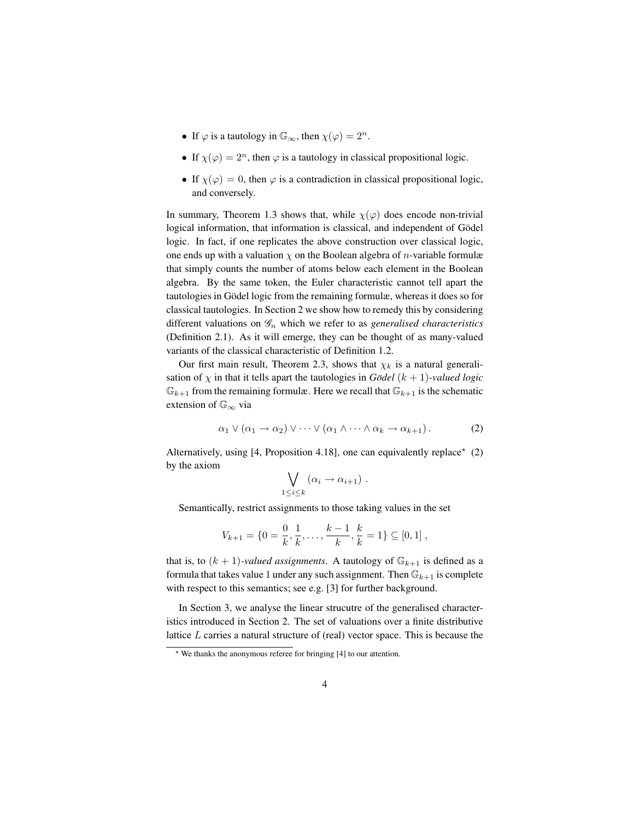- If  $\varphi$  is a tautology in  $\mathbb{G}_{\infty}$ , then  $\chi(\varphi) = 2^n$ .
- If  $\chi(\varphi) = 2^n$ , then  $\varphi$  is a tautology in classical propositional logic.
- If  $\chi(\varphi) = 0$ , then  $\varphi$  is a contradiction in classical propositional logic, and conversely.

In summary, Theorem 1.3 shows that, while  $\chi(\varphi)$  does encode non-trivial logical information, that information is classical, and independent of Gödel logic. In fact, if one replicates the above construction over classical logic, one ends up with a valuation  $\chi$  on the Boolean algebra of *n*-variable formulæ that simply counts the number of atoms below each element in the Boolean algebra. By the same token, the Euler characteristic cannot tell apart the tautologies in Gödel logic from the remaining formulæ, whereas it does so for classical tautologies. In Section 2 we show how to remedy this by considering different valuations on  $\mathscr{G}_n$  which we refer to as *generalised characteristics* (Definition 2.1). As it will emerge, they can be thought of as many-valued variants of the classical characteristic of Definition 1.2.

Our first main result, Theorem 2.3, shows that  $\chi_k$  is a natural generalisation of  $\chi$  in that it tells apart the tautologies in *Gödel*  $(k + 1)$ *-valued logic*  $\mathbb{G}_{k+1}$  from the remaining formulæ. Here we recall that  $\mathbb{G}_{k+1}$  is the schematic extension of  $\mathbb{G}_{\infty}$  via

$$
\alpha_1 \vee (\alpha_1 \to \alpha_2) \vee \cdots \vee (\alpha_1 \wedge \cdots \wedge \alpha_k \to \alpha_{k+1}). \tag{2}
$$

Alternatively, using  $[4,$  Proposition 4.18], one can equivalently replace<sup>\*</sup> (2) by the axiom

$$
\bigvee_{1\leq i\leq k} (\alpha_i \to \alpha_{i+1}) \ .
$$

Semantically, restrict assignments to those taking values in the set

 $\mathbf{1}$ 

$$
V_{k+1} = \{0 = \frac{0}{k}, \frac{1}{k}, \dots, \frac{k-1}{k}, \frac{k}{k} = 1\} \subseteq [0,1],
$$

that is, to  $(k + 1)$ *-valued assignments*. A tautology of  $\mathbb{G}_{k+1}$  is defined as a formula that takes value 1 under any such assignment. Then  $\mathbb{G}_{k+1}$  is complete with respect to this semantics; see e.g. [3] for further background.

In Section 3, we analyse the linear strucutre of the generalised characteristics introduced in Section 2. The set of valuations over a finite distributive lattice L carries a natural structure of (real) vector space. This is because the

<sup>?</sup> We thanks the anonymous referee for bringing [4] to our attention.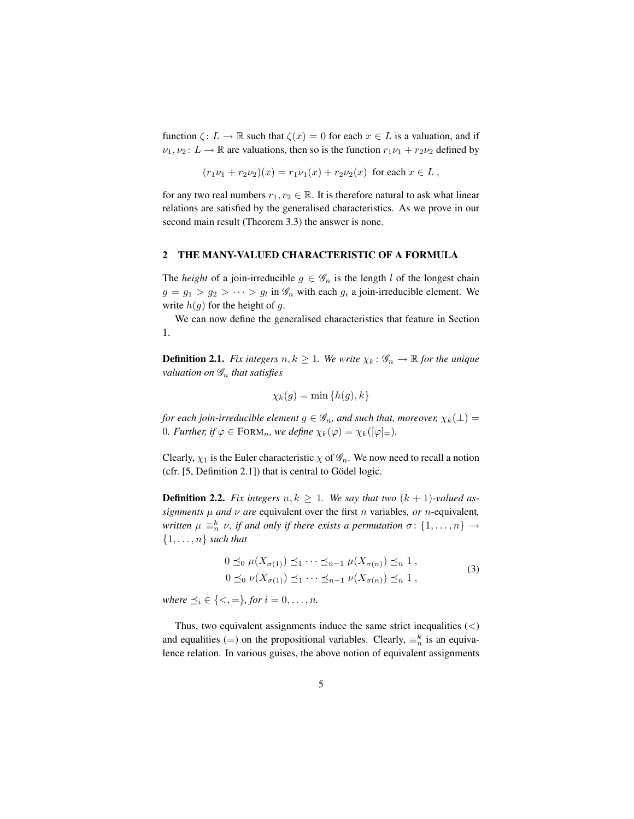function  $\zeta: L \to \mathbb{R}$  such that  $\zeta(x) = 0$  for each  $x \in L$  is a valuation, and if  $\nu_1, \nu_2 \colon L \to \mathbb{R}$  are valuations, then so is the function  $r_1\nu_1 + r_2\nu_2$  defined by

$$
(r_1\nu_1 + r_2\nu_2)(x) = r_1\nu_1(x) + r_2\nu_2(x) \text{ for each } x \in L,
$$

for any two real numbers  $r_1, r_2 \in \mathbb{R}$ . It is therefore natural to ask what linear relations are satisfied by the generalised characteristics. As we prove in our second main result (Theorem 3.3) the answer is none.

# 2 THE MANY-VALUED CHARACTERISTIC OF A FORMULA

The *height* of a join-irreducible  $g \in \mathscr{G}_n$  is the length l of the longest chain  $g = g_1 > g_2 > \cdots > g_l$  in  $\mathcal{G}_n$  with each  $g_i$  a join-irreducible element. We write  $h(g)$  for the height of g.

We can now define the generalised characteristics that feature in Section 1.

**Definition 2.1.** *Fix integers*  $n, k \geq 1$ *. We write*  $\chi_k : \mathscr{G}_n \to \mathbb{R}$  *for the unique valuation on* G<sup>n</sup> *that satisfies*

$$
\chi_k(g) = \min\{h(g), k\}
$$

*for each join-irreducible element*  $g \in \mathscr{G}_n$ *, and such that, moreover,*  $\chi_k(\perp)$  = 0*. Further, if*  $\varphi \in \text{FORM}_n$ *, we define*  $\chi_k(\varphi) = \chi_k([\varphi]_\equiv)$ *.* 

Clearly,  $\chi_1$  is the Euler characteristic  $\chi$  of  $\mathscr{G}_n$ . We now need to recall a notion (cfr.  $[5,$  Definition 2.1]) that is central to Gödel logic.

**Definition 2.2.** Fix integers  $n, k \geq 1$ . We say that two  $(k + 1)$ -valued as*signments*  $\mu$  *and*  $\nu$  *are* equivalent over the first *n* variables, *or n*-equivalent, *written*  $\mu \equiv_n^k \nu$ , *if and only if there exists a permutation*  $\sigma$ :  $\{1, \ldots, n\} \rightarrow$  $\{1, \ldots, n\}$  *such that* 

$$
0 \preceq_0 \mu(X_{\sigma(1)}) \preceq_1 \cdots \preceq_{n-1} \mu(X_{\sigma(n)}) \preceq_n 1,
$$
  
\n
$$
0 \preceq_0 \nu(X_{\sigma(1)}) \preceq_1 \cdots \preceq_{n-1} \nu(X_{\sigma(n)}) \preceq_n 1,
$$
  
\n(3)

*where*  $\preceq_i \in \{<, =\}$ *, for*  $i = 0, \ldots, n$ *.* 

Thus, two equivalent assignments induce the same strict inequalities  $\left\langle \leq\right\rangle$ and equalities (=) on the propositional variables. Clearly,  $\equiv_n^k$  is an equivalence relation. In various guises, the above notion of equivalent assignments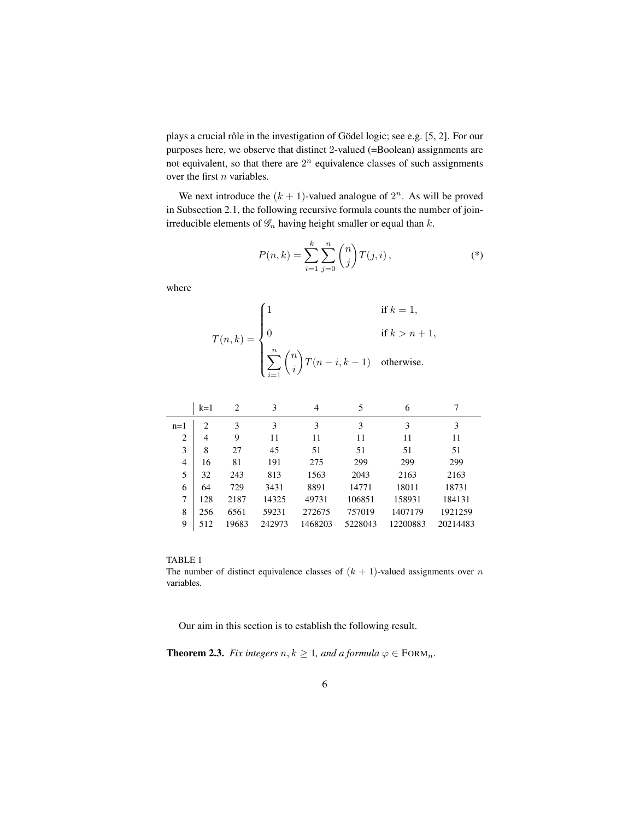plays a crucial rôle in the investigation of Gödel logic; see e.g. [5, 2]. For our purposes here, we observe that distinct 2-valued (=Boolean) assignments are not equivalent, so that there are  $2^n$  equivalence classes of such assignments over the first  $n$  variables.

We next introduce the  $(k + 1)$ -valued analogue of  $2<sup>n</sup>$ . As will be proved in Subsection 2.1, the following recursive formula counts the number of joinirreducible elements of  $\mathscr{G}_n$  having height smaller or equal than  $k$ .

$$
P(n,k) = \sum_{i=1}^{k} \sum_{j=0}^{n} {n \choose j} T(j,i),
$$
 (\*)

where

$$
T(n,k) = \begin{cases} 1 & \text{if } k = 1, \\ 0 & \text{if } k > n+1, \\ \sum_{i=1}^{n} {n \choose i} T(n-i, k-1) & \text{otherwise.} \end{cases}
$$

|                | $k=1$          | 2     | 3      | 4       | 5       | 6        |          |
|----------------|----------------|-------|--------|---------|---------|----------|----------|
| $n=1$          | $\mathfrak{D}$ | 3     | 3      | 3       | 3       | 3        | 3        |
| $\overline{2}$ | 4              | 9     | 11     | 11      | 11      | 11       | 11       |
| 3              | 8              | 27    | 45     | 51      | 51      | 51       | 51       |
| 4              | 16             | 81    | 191    | 275     | 299     | 299      | 299      |
| 5              | 32             | 243   | 813    | 1563    | 2043    | 2163     | 2163     |
| 6              | 64             | 729   | 3431   | 8891    | 14771   | 18011    | 18731    |
| 7              | 128            | 2187  | 14325  | 49731   | 106851  | 158931   | 184131   |
| 8              | 256            | 6561  | 59231  | 272675  | 757019  | 1407179  | 1921259  |
| 9              | 512            | 19683 | 242973 | 1468203 | 5228043 | 12200883 | 20214483 |

#### TABLE 1

The number of distinct equivalence classes of  $(k + 1)$ -valued assignments over n variables.

Our aim in this section is to establish the following result.

**Theorem 2.3.** *Fix integers*  $n, k \geq 1$ *, and a formula*  $\varphi \in \text{FORM}_n$ *.*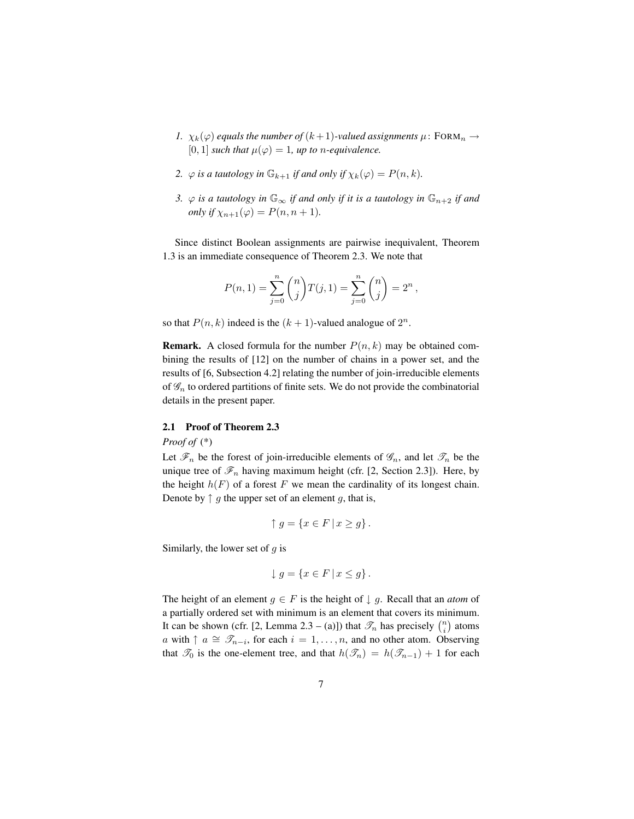- *1.*  $\chi_k(\varphi)$  *equals the number of*  $(k+1)$ *-valued assignments*  $\mu$ : FORM<sub>n</sub>  $\rightarrow$  $[0, 1]$  *such that*  $\mu(\varphi) = 1$ *, up to n-equivalence.*
- *2.*  $\varphi$  *is a tautology in*  $\mathbb{G}_{k+1}$  *if and only if*  $\chi_k(\varphi) = P(n, k)$ *.*
- *3.*  $\varphi$  *is a tautology in*  $\mathbb{G}_{\infty}$  *if and only if it is a tautology in*  $\mathbb{G}_{n+2}$  *if and only if*  $\chi_{n+1}(\varphi) = P(n, n+1)$ *.*

Since distinct Boolean assignments are pairwise inequivalent, Theorem 1.3 is an immediate consequence of Theorem 2.3. We note that

$$
P(n,1) = \sum_{j=0}^{n} {n \choose j} T(j,1) = \sum_{j=0}^{n} {n \choose j} = 2^{n},
$$

so that  $P(n, k)$  indeed is the  $(k + 1)$ -valued analogue of  $2^n$ .

**Remark.** A closed formula for the number  $P(n, k)$  may be obtained combining the results of [12] on the number of chains in a power set, and the results of [6, Subsection 4.2] relating the number of join-irreducible elements of  $\mathscr{G}_n$  to ordered partitions of finite sets. We do not provide the combinatorial details in the present paper.

# 2.1 Proof of Theorem 2.3

*Proof of* (\*)

Let  $\mathscr{F}_n$  be the forest of join-irreducible elements of  $\mathscr{G}_n$ , and let  $\mathscr{T}_n$  be the unique tree of  $\mathcal{F}_n$  having maximum height (cfr. [2, Section 2.3]). Here, by the height  $h(F)$  of a forest F we mean the cardinality of its longest chain. Denote by  $\uparrow$  g the upper set of an element g, that is,

$$
\uparrow g = \{ x \in F \mid x \ge g \}.
$$

Similarly, the lower set of  $g$  is

$$
\downarrow g = \{ x \in F \mid x \le g \}.
$$

The height of an element  $g \in F$  is the height of  $\downarrow g$ . Recall that an *atom* of a partially ordered set with minimum is an element that covers its minimum. It can be shown (cfr. [2, Lemma 2.3 – (a)]) that  $\mathcal{T}_n$  has precisely  $\binom{n}{i}$  atoms a with  $\uparrow$   $a \cong \mathscr{T}_{n-i}$ , for each  $i = 1, \ldots, n$ , and no other atom. Observing that  $\mathcal{T}_0$  is the one-element tree, and that  $h(\mathcal{T}_n) = h(\mathcal{T}_{n-1}) + 1$  for each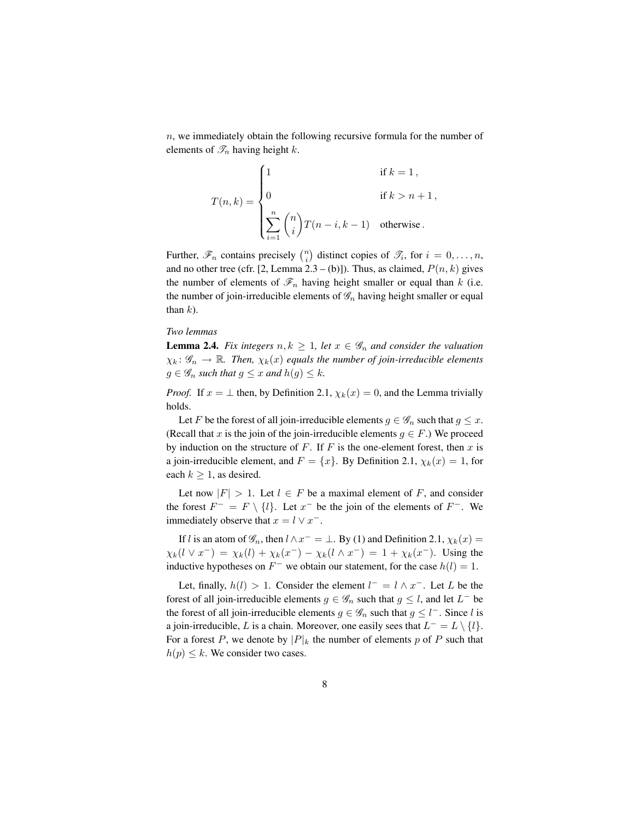$n$ , we immediately obtain the following recursive formula for the number of elements of  $\mathscr{T}_n$  having height k.

$$
T(n,k) = \begin{cases} 1 & \text{if } k = 1, \\ 0 & \text{if } k > n+1, \\ \sum_{i=1}^{n} {n \choose i} T(n-i, k-1) & \text{otherwise.} \end{cases}
$$

Further,  $\mathscr{F}_n$  contains precisely  $\binom{n}{i}$  distinct copies of  $\mathscr{T}_i$ , for  $i = 0, \ldots, n$ , and no other tree (cfr. [2, Lemma 2.3 – (b)]). Thus, as claimed,  $P(n, k)$  gives the number of elements of  $\mathcal{F}_n$  having height smaller or equal than k (i.e. the number of join-irreducible elements of  $\mathscr{G}_n$  having height smaller or equal than  $k$ ).

## *Two lemmas*

**Lemma 2.4.** *Fix integers*  $n, k \geq 1$ *, let*  $x \in \mathscr{G}_n$  *and consider the valuation*  $\chi_k: \mathscr{G}_n \to \mathbb{R}$ . Then,  $\chi_k(x)$  equals the number of join-irreducible elements  $g \in \mathscr{G}_n$  *such that*  $g \leq x$  *and*  $h(g) \leq k$ *.* 

*Proof.* If  $x = \perp$  then, by Definition 2.1,  $\chi_k(x) = 0$ , and the Lemma trivially holds.

Let F be the forest of all join-irreducible elements  $g \in \mathscr{G}_n$  such that  $g \leq x$ . (Recall that x is the join of the join-irreducible elements  $q \in F$ .) We proceed by induction on the structure of  $F$ . If  $F$  is the one-element forest, then  $x$  is a join-irreducible element, and  $F = \{x\}$ . By Definition 2.1,  $\chi_k(x) = 1$ , for each  $k > 1$ , as desired.

Let now  $|F| > 1$ . Let  $l \in F$  be a maximal element of F, and consider the forest  $F^- = F \setminus \{l\}$ . Let  $x^-$  be the join of the elements of  $F^-$ . We immediately observe that  $x = l \vee x^{-}$ .

If l is an atom of  $\mathscr{G}_n$ , then  $l \wedge x^- = \perp$ . By (1) and Definition 2.1,  $\chi_k(x) =$  $\chi_k(l \vee x^-) = \chi_k(l) + \chi_k(x^-) - \chi_k(l \wedge x^-) = 1 + \chi_k(x^-)$ . Using the inductive hypotheses on  $F^-$  we obtain our statement, for the case  $h(l) = 1$ .

Let, finally,  $h(l) > 1$ . Consider the element  $l^- = l \wedge x^-$ . Let L be the forest of all join-irreducible elements  $g \in \mathscr{G}_n$  such that  $g \leq l$ , and let  $L^-$  be the forest of all join-irreducible elements  $g \in \mathscr{G}_n$  such that  $g \leq l^-$ . Since l is a join-irreducible, L is a chain. Moreover, one easily sees that  $L^- = L \setminus \{l\}$ . For a forest P, we denote by  $|P|_k$  the number of elements p of P such that  $h(p) \leq k$ . We consider two cases.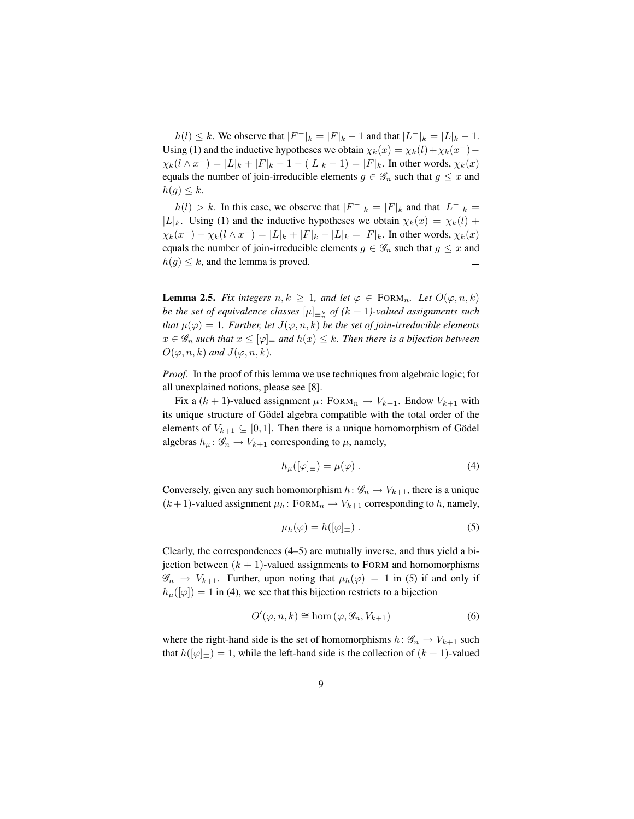$h(l) \leq k$ . We observe that  $|F^{-}|_k = |F|_k - 1$  and that  $|L^{-}|_k = |L|_k - 1$ . Using (1) and the inductive hypotheses we obtain  $\chi_k(x) = \chi_k(l) + \chi_k(x^{-}) \chi_k(l \wedge x^{-}) = |L|_k + |F|_k - 1 - (|L|_k - 1) = |F|_k$ . In other words,  $\chi_k(x)$ equals the number of join-irreducible elements  $g \in \mathscr{G}_n$  such that  $g \leq x$  and  $h(g) \leq k$ .

 $h(l) > k$ . In this case, we observe that  $|F^{-}|_k = |F|_k$  and that  $|L^{-}|_k =$ |L|<sub>k</sub>. Using (1) and the inductive hypotheses we obtain  $\chi_k(x) = \chi_k(l) +$  $\chi_k(x^-) - \chi_k(l \wedge x^-) = |L|_k + |F|_k - |L|_k = |F|_k$ . In other words,  $\chi_k(x)$ equals the number of join-irreducible elements  $g \in \mathscr{G}_n$  such that  $g \leq x$  and  $h(g) \leq k$ , and the lemma is proved.  $\Box$ 

**Lemma 2.5.** *Fix integers*  $n, k \geq 1$ *, and let*  $\varphi \in \text{FORM}_n$ *. Let*  $O(\varphi, n, k)$ *be the set of equivalence classes*  $[\mu]_{\equiv_n^k}$  *of*  $(k+1)$ -valued assignments such *that*  $\mu(\varphi) = 1$ *. Further, let*  $J(\varphi, n, k)$  *be the set of join-irreducible elements*  $x \in \mathscr{G}_n$  such that  $x \leq [\varphi] \equiv$  and  $h(x) \leq k$ . Then there is a bijection between  $O(\varphi, n, k)$  and  $J(\varphi, n, k)$ .

*Proof.* In the proof of this lemma we use techniques from algebraic logic; for all unexplained notions, please see [8].

Fix a  $(k + 1)$ -valued assignment  $\mu$ : FORM $_n \to V_{k+1}$ . Endow  $V_{k+1}$  with its unique structure of Gödel algebra compatible with the total order of the elements of  $V_{k+1} \subseteq [0, 1]$ . Then there is a unique homomorphism of Gödel algebras  $h_{\mu}$ :  $\mathscr{G}_n \to V_{k+1}$  corresponding to  $\mu$ , namely,

$$
h_{\mu}([\varphi]_{\equiv}) = \mu(\varphi) . \tag{4}
$$

Conversely, given any such homomorphism  $h: \mathscr{G}_n \to V_{k+1}$ , there is a unique  $(k+1)$ -valued assignment  $\mu_h$ : FORM $_n \to V_{k+1}$  corresponding to h, namely,

$$
\mu_h(\varphi) = h([\varphi]_{\equiv}). \tag{5}
$$

Clearly, the correspondences (4–5) are mutually inverse, and thus yield a bijection between  $(k + 1)$ -valued assignments to FORM and homomorphisms  $\mathscr{G}_n \to V_{k+1}$ . Further, upon noting that  $\mu_h(\varphi) = 1$  in (5) if and only if  $h_{\mu}([\varphi]) = 1$  in (4), we see that this bijection restricts to a bijection

$$
O'(\varphi, n, k) \cong \text{hom}(\varphi, \mathcal{G}_n, V_{k+1})
$$
\n<sup>(6)</sup>

where the right-hand side is the set of homomorphisms  $h: \mathcal{G}_n \to V_{k+1}$  such that  $h([\varphi]_{\equiv}) = 1$ , while the left-hand side is the collection of  $(k + 1)$ -valued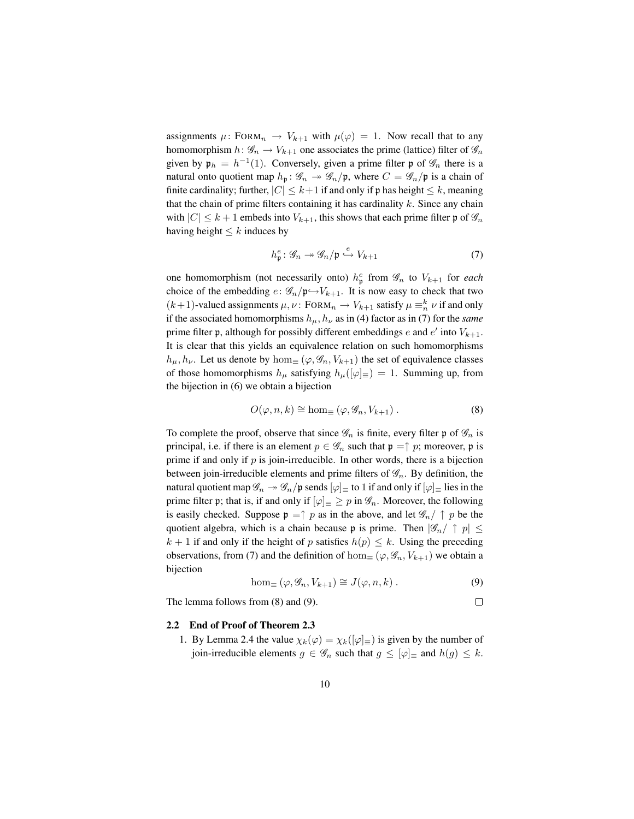assignments  $\mu$ : FORM<sub>n</sub>  $\rightarrow$   $V_{k+1}$  with  $\mu(\varphi) = 1$ . Now recall that to any homomorphism  $h: \mathscr{G}_n \to V_{k+1}$  one associates the prime (lattice) filter of  $\mathscr{G}_n$ given by  $\mathfrak{p}_h = h^{-1}(1)$ . Conversely, given a prime filter  $\mathfrak p$  of  $\mathscr G_n$  there is a natural onto quotient map  $h_p: \mathscr{G}_n \to \mathscr{G}_n/\mathfrak{p}$ , where  $C = \mathscr{G}_n/\mathfrak{p}$  is a chain of finite cardinality; further,  $|C| \leq k+1$  if and only if p has height  $\leq k$ , meaning that the chain of prime filters containing it has cardinality  $k$ . Since any chain with  $|C| \leq k+1$  embeds into  $V_{k+1}$ , this shows that each prime filter p of  $\mathscr{G}_n$ having height  $\leq k$  induces by

$$
h_{\mathfrak{p}}^{e} : \mathscr{G}_{n} \to \mathscr{G}_{n}/\mathfrak{p} \stackrel{e}{\hookrightarrow} V_{k+1}
$$
 (7)

one homomorphism (not necessarily onto)  $h_{\mathfrak{p}}^e$  from  $\mathcal{G}_n$  to  $V_{k+1}$  for *each* choice of the embedding  $e: \mathcal{G}_n/\mathfrak{p} \rightarrow V_{k+1}$ . It is now easy to check that two  $(k+1)$ -valued assignments  $\mu, \nu$ : FORM $_n \to V_{k+1}$  satisfy  $\mu \equiv_n^k \nu$  if and only if the associated homomorphisms  $h_{\mu}$ ,  $h_{\nu}$  as in (4) factor as in (7) for the *same* prime filter  $\mathfrak p$ , although for possibly different embeddings e and  $e'$  into  $V_{k+1}$ . It is clear that this yields an equivalence relation on such homomorphisms  $h_{\mu}, h_{\nu}$ . Let us denote by hom $\equiv (\varphi, \mathscr{G}_n, V_{k+1})$  the set of equivalence classes of those homomorphisms  $h_{\mu}$  satisfying  $h_{\mu}([\varphi]_{\equiv}) = 1$ . Summing up, from the bijection in (6) we obtain a bijection

$$
O(\varphi, n, k) \cong \text{hom}_{\equiv}(\varphi, \mathcal{G}_n, V_{k+1}). \tag{8}
$$

To complete the proof, observe that since  $\mathscr{G}_n$  is finite, every filter p of  $\mathscr{G}_n$  is principal, i.e. if there is an element  $p \in \mathscr{G}_n$  such that  $\mathfrak{p} = \uparrow p$ ; moreover, p is prime if and only if  $p$  is join-irreducible. In other words, there is a bijection between join-irreducible elements and prime filters of  $\mathscr{G}_n$ . By definition, the natural quotient map  $\mathscr{G}_n \to \mathscr{G}_n/\mathfrak{p}$  sends  $[\varphi]_\equiv$  to 1 if and only if  $[\varphi]_\equiv$  lies in the prime filter p; that is, if and only if  $[\varphi] \equiv \varphi$  in  $\mathscr{G}_n$ . Moreover, the following is easily checked. Suppose  $\mathfrak{p} = \uparrow p$  as in the above, and let  $\mathscr{G}_n / \uparrow p$  be the quotient algebra, which is a chain because p is prime. Then  $|\mathscr{G}_n/\uparrow p| \leq$  $k + 1$  if and only if the height of p satisfies  $h(p) \leq k$ . Using the preceding observations, from (7) and the definition of hom $(\varphi, \mathscr{G}_n, V_{k+1})$  we obtain a bijection

$$
\hom_{\equiv}(\varphi, \mathscr{G}_n, V_{k+1}) \cong J(\varphi, n, k) . \tag{9}
$$

The lemma follows from (8) and (9).

$$
\mathcal{L}^{\mathcal{L}}(\mathcal{L}^{\mathcal{L}}(\mathcal{L}^{\mathcal{L}}(\mathcal{L}^{\mathcal{L}}(\mathcal{L}^{\mathcal{L}}(\mathcal{L}^{\mathcal{L}}(\mathcal{L}^{\mathcal{L}}(\mathcal{L}^{\mathcal{L}}(\mathcal{L}^{\mathcal{L}}(\mathcal{L}^{\mathcal{L}}(\mathcal{L}^{\mathcal{L}}(\mathcal{L}^{\mathcal{L}}(\mathcal{L}^{\mathcal{L}}(\mathcal{L}^{\mathcal{L}}(\mathcal{L}^{\mathcal{L}}(\mathcal{L}^{\mathcal{L}}(\mathcal{L}^{\mathcal{L}}(\mathcal{L}^{\mathcal{L}}(\mathcal{L}^{\mathcal{L}}(\mathcal{L}^{\mathcal{L}}(\mathcal{L}^{\mathcal{L}}(\mathcal{L}^{\mathcal{L}}(\mathcal{L}^{\mathcal{L}}(\mathcal{L}^{\mathcal{L}}(\mathcal{L}^{\mathcal{L}}(\mathcal{L}^{\mathcal{L}}(\mathcal{L}^{\mathcal{L}}(\mathcal{L}^{\mathcal{L}}(\mathcal{L}^{\mathcal{L}}(\mathcal{L}^{\mathcal{L}}(\mathcal{L}^{\mathcal{L}}(\mathcal{L}^{\mathcal{L}}(\mathcal{L}^{\mathcal{L}}(\mathcal{L}^{\mathcal{L}}(\mathcal{L}^{\mathcal{L}}(\mathcal{L}^{\mathcal{L}}(\mathcal{L}^{\mathcal{L}}(\mathcal{L}^{\mathcal{L}}(\mathcal{L}^{\mathcal{L}}(\mathcal{L}^{\mathcal{L}}(\mathcal{L}^{\mathcal{L}}(\mathcal{L}^{\mathcal{L}}(\mathcal{L}^{\mathcal{L}}(\mathcal{L}^{\mathcal{L}}(\mathcal{L}^{\mathcal{L}}(\mathcal{L}^{\mathcal{L}}(\mathcal{L}^{\mathcal{L}}(\mathcal{L}^{\mathcal{L}}(\mathcal{L}^{\mathcal{L}}(\mathcal{L}^{\mathcal{L}}(\mathcal{L}^{\mathcal{L}}(\mathcal{L}^{\mathcal{L}}(\mathcal{L}^{\mathcal{L}}(\mathcal{L}^{\mathcal{L}}(\mathcal{L}^{\mathcal{L}}(\mathcal{L}^{\mathcal{L}}(\mathcal{L}^{\mathcal{L}}(\mathcal{L}^{\mathcal{L}}(\mathcal{L}
$$

#### 2.2 End of Proof of Theorem 2.3

1. By Lemma 2.4 the value  $\chi_k(\varphi) = \chi_k([\varphi]_{\equiv})$  is given by the number of join-irreducible elements  $g \in \mathscr{G}_n$  such that  $g \leq [\varphi]$  and  $h(g) \leq k$ .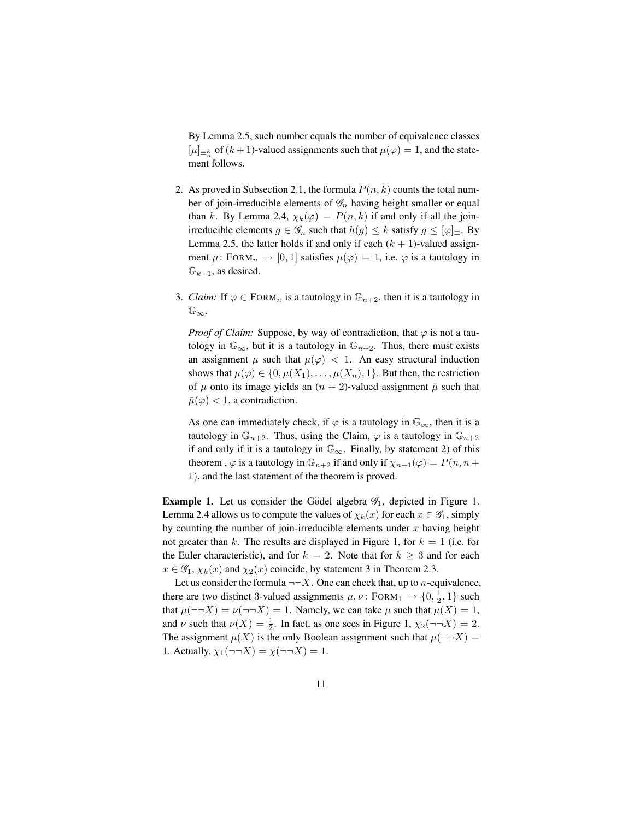By Lemma 2.5, such number equals the number of equivalence classes  $[\mu]_{\equiv \frac{k}{n}}$  of  $(k+1)$ -valued assignments such that  $\mu(\varphi) = 1$ , and the statement follows.

- 2. As proved in Subsection 2.1, the formula  $P(n, k)$  counts the total number of join-irreducible elements of  $\mathscr{G}_n$  having height smaller or equal than k. By Lemma 2.4,  $\chi_k(\varphi) = P(n, k)$  if and only if all the joinirreducible elements  $g \in \mathscr{G}_n$  such that  $h(g) \leq k$  satisfy  $g \leq [\varphi]_{\equiv}$ . By Lemma 2.5, the latter holds if and only if each  $(k + 1)$ -valued assignment  $\mu$ : FORM<sub>n</sub>  $\rightarrow$  [0, 1] satisfies  $\mu(\varphi) = 1$ , i.e.  $\varphi$  is a tautology in  $\mathbb{G}_{k+1}$ , as desired.
- 3. *Claim:* If  $\varphi \in \text{FORM}_n$  is a tautology in  $\mathbb{G}_{n+2}$ , then it is a tautology in  $\mathbb{G}_{\infty}$ .

*Proof of Claim:* Suppose, by way of contradiction, that  $\varphi$  is not a tautology in  $\mathbb{G}_{\infty}$ , but it is a tautology in  $\mathbb{G}_{n+2}$ . Thus, there must exists an assignment  $\mu$  such that  $\mu(\varphi) < 1$ . An easy structural induction shows that  $\mu(\varphi) \in \{0, \mu(X_1), \ldots, \mu(X_n), 1\}$ . But then, the restriction of  $\mu$  onto its image yields an  $(n + 2)$ -valued assignment  $\bar{\mu}$  such that  $\bar{\mu}(\varphi) < 1$ , a contradiction.

As one can immediately check, if  $\varphi$  is a tautology in  $\mathbb{G}_{\infty}$ , then it is a tautology in  $\mathbb{G}_{n+2}$ . Thus, using the Claim,  $\varphi$  is a tautology in  $\mathbb{G}_{n+2}$ if and only if it is a tautology in  $\mathbb{G}_{\infty}$ . Finally, by statement 2) of this theorem,  $\varphi$  is a tautology in  $\mathbb{G}_{n+2}$  if and only if  $\chi_{n+1}(\varphi) = P(n, n + 1)$ 1), and the last statement of the theorem is proved.

**Example 1.** Let us consider the Gödel algebra  $\mathscr{G}_1$ , depicted in Figure 1. Lemma 2.4 allows us to compute the values of  $\chi_k(x)$  for each  $x \in \mathscr{G}_1$ , simply by counting the number of join-irreducible elements under  $x$  having height not greater than k. The results are displayed in Figure 1, for  $k = 1$  (i.e. for the Euler characteristic), and for  $k = 2$ . Note that for  $k \geq 3$  and for each  $x \in \mathscr{G}_1$ ,  $\chi_k(x)$  and  $\chi_2(x)$  coincide, by statement 3 in Theorem 2.3.

Let us consider the formula  $\neg\neg X$ . One can check that, up to *n*-equivalence, there are two distinct 3-valued assignments  $\mu, \nu$ : FORM<sub>1</sub>  $\rightarrow$   $\{0, \frac{1}{2}, 1\}$  such that  $\mu(\neg\neg X) = \nu(\neg\neg X) = 1$ . Namely, we can take  $\mu$  such that  $\mu(X) = 1$ , and  $\nu$  such that  $\nu(X) = \frac{1}{2}$ . In fact, as one sees in Figure 1,  $\chi_2(\neg\neg X) = 2$ . The assignment  $\mu(X)$  is the only Boolean assignment such that  $\mu(\neg\neg X) =$ 1. Actually,  $\chi_1(\neg\neg X) = \chi(\neg\neg X) = 1$ .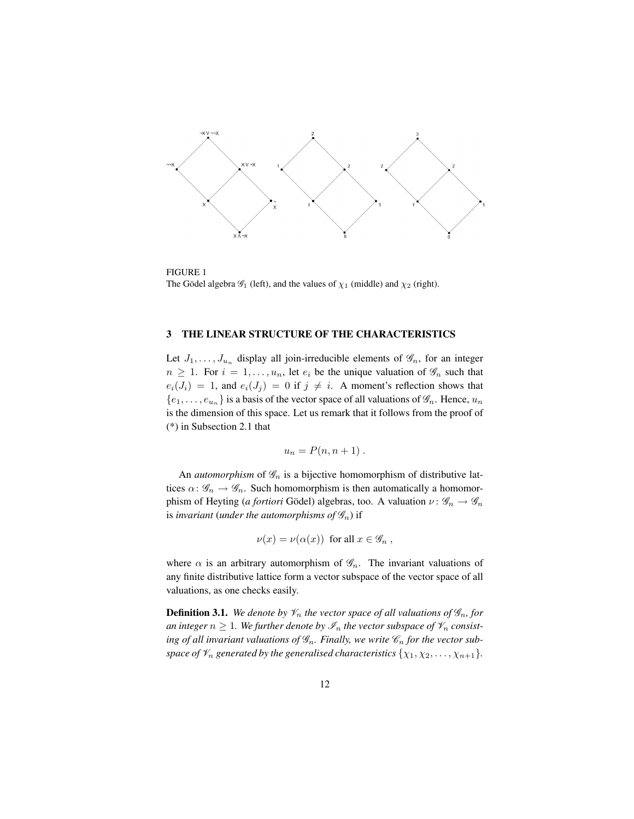

FIGURE 1 The Gödel algebra  $\mathcal{G}_1$  (left), and the values of  $\chi_1$  (middle) and  $\chi_2$  (right).

### 3 THE LINEAR STRUCTURE OF THE CHARACTERISTICS

Let  $J_1, \ldots, J_{u_n}$  display all join-irreducible elements of  $\mathscr{G}_n$ , for an integer  $n \geq 1$ . For  $i = 1, \ldots, u_n$ , let  $e_i$  be the unique valuation of  $\mathscr{G}_n$  such that  $e_i(J_i) = 1$ , and  $e_i(J_j) = 0$  if  $j \neq i$ . A moment's reflection shows that  ${e_1, \ldots, e_{u_n}}$  is a basis of the vector space of all valuations of  $\mathscr{G}_n$ . Hence,  $u_n$ is the dimension of this space. Let us remark that it follows from the proof of (\*) in Subsection 2.1 that

$$
u_n = P(n, n+1) \ .
$$

An *automorphism* of  $\mathcal{G}_n$  is a bijective homomorphism of distributive lattices  $\alpha: \mathscr{G}_n \to \mathscr{G}_n$ . Such homomorphism is then automatically a homomorphism of Heyting (*a fortiori* Gödel) algebras, too. A valuation  $\nu : \mathscr{G}_n \to \mathscr{G}_n$ is *invariant* (*under the automorphisms of*  $\mathscr{G}_n$ *)* if

$$
\nu(x) = \nu(\alpha(x)) \text{ for all } x \in \mathscr{G}_n ,
$$

where  $\alpha$  is an arbitrary automorphism of  $\mathscr{G}_n$ . The invariant valuations of any finite distributive lattice form a vector subspace of the vector space of all valuations, as one checks easily.

**Definition 3.1.** *We denote by*  $\mathcal{V}_n$  *the vector space of all valuations of*  $\mathcal{G}_n$ *, for an integer*  $n \geq 1$ *. We further denote by*  $\mathcal{I}_n$  *the vector subspace of*  $\mathcal{V}_n$  *consist*ing of all invariant valuations of  $\mathscr{G}_n$ . Finally, we write  $\mathscr{C}_n$  for the vector sub*space of*  $\mathcal{V}_n$  *generated by the generalised characteristics*  $\{\chi_1, \chi_2, \ldots, \chi_{n+1}\}.$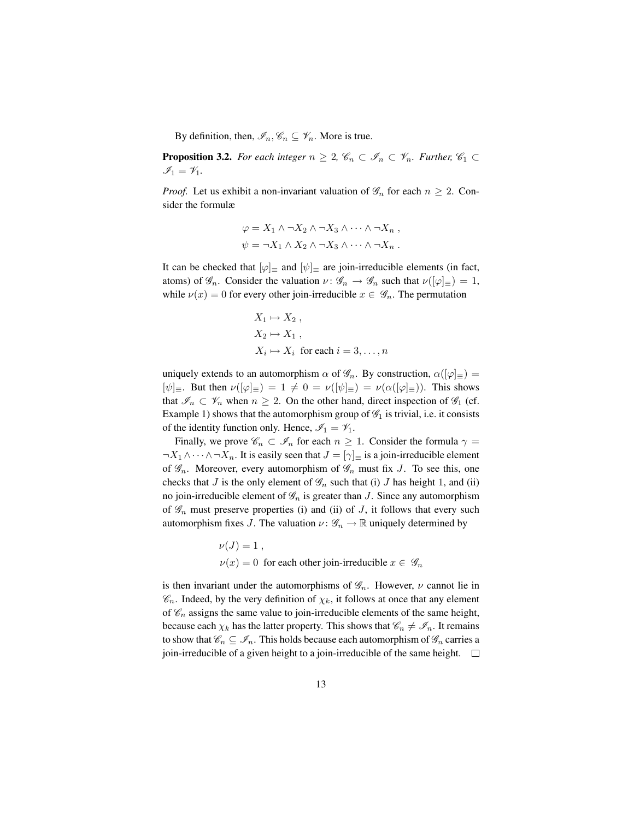By definition, then,  $\mathscr{I}_n, \mathscr{C}_n \subseteq \mathscr{V}_n$ . More is true.

**Proposition 3.2.** *For each integer*  $n \geq 2$ ,  $\mathscr{C}_n \subset \mathscr{I}_n \subset \mathscr{V}_n$ *. Further,*  $\mathscr{C}_1 \subset$  $\mathscr{I}_1 = \mathscr{V}_1.$ 

*Proof.* Let us exhibit a non-invariant valuation of  $\mathscr{G}_n$  for each  $n \geq 2$ . Consider the formulæ

$$
\varphi = X_1 \wedge \neg X_2 \wedge \neg X_3 \wedge \cdots \wedge \neg X_n ,
$$
  

$$
\psi = \neg X_1 \wedge X_2 \wedge \neg X_3 \wedge \cdots \wedge \neg X_n .
$$

It can be checked that  $[\varphi]$ <sub>≡</sub> and  $[\psi]$ <sub>≡</sub> are join-irreducible elements (in fact, atoms) of  $\mathscr{G}_n$ . Consider the valuation  $\nu : \mathscr{G}_n \to \mathscr{G}_n$  such that  $\nu([\varphi]_{\equiv}) = 1$ , while  $\nu(x) = 0$  for every other join-irreducible  $x \in \mathscr{G}_n$ . The permutation

$$
X_1 \mapsto X_2 ,
$$
  
\n
$$
X_2 \mapsto X_1 ,
$$
  
\n
$$
X_i \mapsto X_i \text{ for each } i = 3, ..., n
$$

uniquely extends to an automorphism  $\alpha$  of  $\mathscr{G}_n$ . By construction,  $\alpha([\varphi]_{\equiv}) =$  $[\psi]_{\equiv}$ . But then  $\nu([\varphi]_{\equiv}) = 1 \neq 0 = \nu([\psi]_{\equiv}) = \nu(\alpha([\varphi]_{\equiv}))$ . This shows that  $\mathscr{I}_n \subset \mathscr{V}_n$  when  $n \geq 2$ . On the other hand, direct inspection of  $\mathscr{G}_1$  (cf. Example 1) shows that the automorphism group of  $\mathscr{G}_1$  is trivial, i.e. it consists of the identity function only. Hence,  $\mathcal{I}_1 = \mathcal{V}_1$ .

Finally, we prove  $\mathcal{C}_n \subset \mathcal{I}_n$  for each  $n \geq 1$ . Consider the formula  $\gamma =$  $\neg X_1 \wedge \cdots \wedge \neg X_n$ . It is easily seen that  $J = [\gamma]_{\equiv}$  is a join-irreducible element of  $\mathscr{G}_n$ . Moreover, every automorphism of  $\mathscr{G}_n$  must fix J. To see this, one checks that J is the only element of  $\mathcal{G}_n$  such that (i) J has height 1, and (ii) no join-irreducible element of  $\mathcal{G}_n$  is greater than J. Since any automorphism of  $\mathscr{G}_n$  must preserve properties (i) and (ii) of J, it follows that every such automorphism fixes J. The valuation  $\nu : \mathscr{G}_n \to \mathbb{R}$  uniquely determined by

> $\nu(J) = 1$ ,  $\nu(x) = 0$  for each other join-irreducible  $x \in \mathscr{G}_n$

is then invariant under the automorphisms of  $\mathscr{G}_n$ . However,  $\nu$  cannot lie in  $\mathscr{C}_n$ . Indeed, by the very definition of  $\chi_k$ , it follows at once that any element of  $\mathcal{C}_n$  assigns the same value to join-irreducible elements of the same height, because each  $\chi_k$  has the latter property. This shows that  $\mathscr{C}_n \neq \mathscr{I}_n$ . It remains to show that  $\mathscr{C}_n \subseteq \mathscr{I}_n$ . This holds because each automorphism of  $\mathscr{G}_n$  carries a join-irreducible of a given height to a join-irreducible of the same height.  $\Box$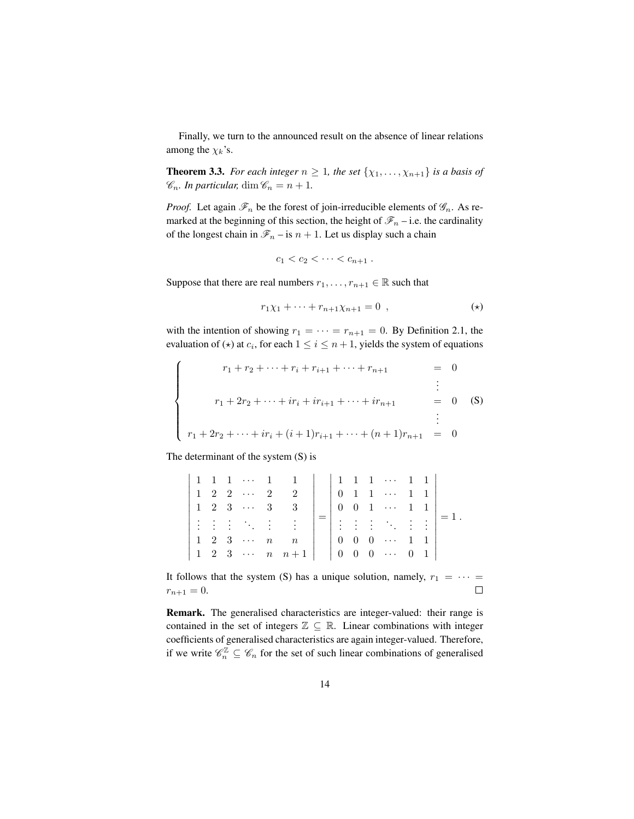Finally, we turn to the announced result on the absence of linear relations among the  $\chi_k$ 's.

**Theorem 3.3.** *For each integer*  $n \geq 1$ *, the set*  $\{\chi_1, \ldots, \chi_{n+1}\}$  *is a basis of*  $\mathscr{C}_n$ *. In particular,* dim  $\mathscr{C}_n = n + 1$ *.* 

*Proof.* Let again  $\mathcal{F}_n$  be the forest of join-irreducible elements of  $\mathcal{G}_n$ . As remarked at the beginning of this section, the height of  $\mathcal{F}_n$  – i.e. the cardinality of the longest chain in  $\mathcal{F}_n$  – is  $n + 1$ . Let us display such a chain

$$
c_1 < c_2 < \cdots < c_{n+1} .
$$

Suppose that there are real numbers  $r_1, \ldots, r_{n+1} \in \mathbb{R}$  such that

$$
r_1\chi_1 + \dots + r_{n+1}\chi_{n+1} = 0 \quad , \tag{(*)}
$$

with the intention of showing  $r_1 = \cdots = r_{n+1} = 0$ . By Definition 2.1, the evaluation of  $(\star)$  at  $c_i$ , for each  $1 \leq i \leq n+1$ , yields the system of equations

$$
\begin{cases}\n r_1 + r_2 + \dots + r_i + r_{i+1} + \dots + r_{n+1} &= 0 \\
 \vdots & \vdots \\
 r_1 + 2r_2 + \dots + ir_i + ir_{i+1} + \dots + ir_{n+1} &= 0 \quad \text{(S)} \\
 \vdots & \vdots \\
 r_1 + 2r_2 + \dots + ir_i + (i+1)r_{i+1} + \dots + (n+1)r_{n+1} &= 0\n \end{cases}
$$

The determinant of the system (S) is

|  |                                                                           | $1 1 1 \cdots 1 1 \mid 1 1 \cdots 1 1 \n$                                                                                  |            |            |                |                                                                                                                                                                                                                                                                                                                                                                                                                                                                                                                                                 |  |  |
|--|---------------------------------------------------------------------------|----------------------------------------------------------------------------------------------------------------------------|------------|------------|----------------|-------------------------------------------------------------------------------------------------------------------------------------------------------------------------------------------------------------------------------------------------------------------------------------------------------------------------------------------------------------------------------------------------------------------------------------------------------------------------------------------------------------------------------------------------|--|--|
|  | $1 \quad 2 \quad 2 \quad \cdots \quad 2$                                  |                                                                                                                            |            |            |                | $\begin{array}{ ccc } 0 & 1 & 1 & \cdots & 1 & 1 \end{array}$                                                                                                                                                                                                                                                                                                                                                                                                                                                                                   |  |  |
|  | $\begin{array}{ ccccccccccccccc }\n1 & 2 & 3 & \cdots & 3 \\ \end{array}$ |                                                                                                                            |            | $0\quad 0$ |                | $1 \cdots 1 \ 1$                                                                                                                                                                                                                                                                                                                                                                                                                                                                                                                                |  |  |
|  |                                                                           | $\begin{array}{ cccc } \hline \vdots & \vdots & \ddots & \vdots & \vdots \\ \hline 1 & 2 & 3 & \cdots & n & n \end{array}$ |            |            |                | $\begin{array}{c} \begin{array}{c} \hline \end{array} & \begin{array}{c} \hline \end{array} & \begin{array}{c} \hline \end{array} & \begin{array}{c} \hline \end{array} & \begin{array}{c} \hline \end{array} & \begin{array}{c} \hline \end{array} & \begin{array}{c} \hline \end{array} & \begin{array}{c} \hline \end{array} & \begin{array}{c} \hline \end{array} & \begin{array}{c} \hline \end{array} & \begin{array}{c} \hline \end{array} & \begin{array}{c} \hline \end{array} & \begin{array}{c} \hline \end{array} & \begin{array}{$ |  |  |
|  |                                                                           |                                                                                                                            | $0\quad 0$ |            | $\overline{0}$ | $\sim$                                                                                                                                                                                                                                                                                                                                                                                                                                                                                                                                          |  |  |
|  |                                                                           | $\begin{array}{ccccccc} 1 & 2 & 3 & \cdots & n & n+1 \end{array}$                                                          |            |            |                | $0 \t 0 \t 0 \t \cdots \t 0 \t 1$                                                                                                                                                                                                                                                                                                                                                                                                                                                                                                               |  |  |

It follows that the system (S) has a unique solution, namely,  $r_1 = \cdots =$  $r_{n+1} = 0.$  $\Box$ 

Remark. The generalised characteristics are integer-valued: their range is contained in the set of integers  $\mathbb{Z} \subseteq \mathbb{R}$ . Linear combinations with integer coefficients of generalised characteristics are again integer-valued. Therefore, if we write  $\mathscr{C}_n^{\mathbb{Z}} \subseteq \mathscr{C}_n$  for the set of such linear combinations of generalised